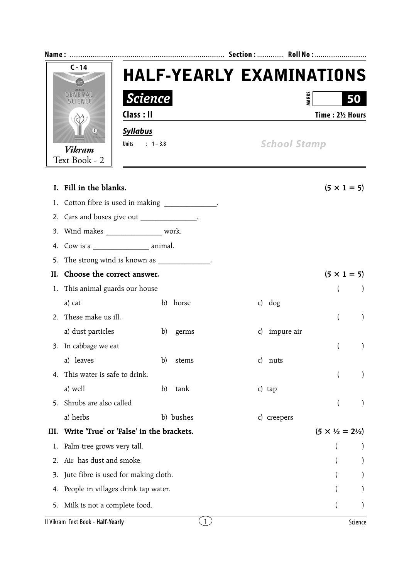| $C - 14$                          |                                            |                                                | <b>HALF-YEARLY EXAMINATIONS</b> |                                         |  |  |
|-----------------------------------|--------------------------------------------|------------------------------------------------|---------------------------------|-----------------------------------------|--|--|
| <b>GENERAI</b>                    | <b>Science</b>                             |                                                |                                 | <b>MARKS</b><br>50                      |  |  |
|                                   | Class : II                                 |                                                |                                 | Time: 21/2 Hours                        |  |  |
|                                   | <b>Syllabus</b><br>$\mathsf{S}$            |                                                |                                 |                                         |  |  |
| <b>Vikram</b>                     | $: 1 - 3.8$<br>Units                       |                                                |                                 | <b>School Stamp</b>                     |  |  |
| Text Book - 2                     |                                            |                                                |                                 |                                         |  |  |
|                                   |                                            |                                                |                                 |                                         |  |  |
| I. Fill in the blanks.            |                                            |                                                |                                 | $(5 \times 1 = 5)$                      |  |  |
| 1.                                |                                            | Cotton fibre is used in making ______________. |                                 |                                         |  |  |
|                                   | 2. Cars and buses give out ______________. |                                                |                                 |                                         |  |  |
| 3.                                | Wind makes __________________ work.        |                                                |                                 |                                         |  |  |
| 4.                                |                                            |                                                |                                 |                                         |  |  |
| 5.                                |                                            | The strong wind is known as _____________.     |                                 |                                         |  |  |
| Н.                                | Choose the correct answer.                 |                                                |                                 | $(5 \times 1 = 5)$                      |  |  |
| 1.                                | This animal guards our house               |                                                |                                 |                                         |  |  |
| a) cat                            |                                            | horse<br>b)                                    | $c)$ dog                        |                                         |  |  |
| 2. These make us ill.             |                                            |                                                |                                 | $\lambda$                               |  |  |
| a) dust particles                 |                                            | b)<br>germs                                    | c) impure air                   |                                         |  |  |
| 3. In cabbage we eat              |                                            |                                                |                                 | $\mathcal{E}$                           |  |  |
| leaves<br>a)                      |                                            | b)<br>stems                                    | $\mathsf{C}$<br>nuts            |                                         |  |  |
| 4.                                | This water is safe to drink.               |                                                |                                 | $\mathcal{E}$                           |  |  |
| a) well                           |                                            | $\mathbf{b}$<br>tank                           | c) tap                          |                                         |  |  |
| 5.                                | Shrubs are also called                     |                                                |                                 |                                         |  |  |
| a) herbs                          |                                            | b) bushes                                      | c) creepers                     |                                         |  |  |
| III.                              | Write 'True' or 'False' in the brackets.   |                                                |                                 | $(5 \times \frac{1}{2} = 2\frac{1}{2})$ |  |  |
| 1.                                | Palm tree grows very tall.                 |                                                |                                 |                                         |  |  |
| 2.                                | Air has dust and smoke.                    |                                                |                                 |                                         |  |  |
| 3.                                | Jute fibre is used for making cloth.       |                                                |                                 |                                         |  |  |
| 4.                                | People in villages drink tap water.        |                                                |                                 |                                         |  |  |
| 5.                                | Milk is not a complete food.               |                                                |                                 |                                         |  |  |
| Il Vikram Text Book - Half-Yearly |                                            | $\lfloor 1 \rfloor$                            |                                 | Science                                 |  |  |